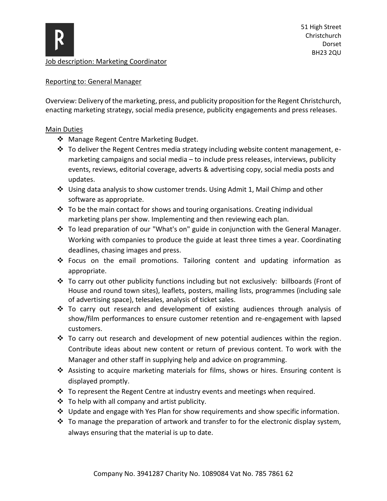

Job description: Marketing Coordinator

## Reporting to: General Manager

Overview: Delivery of the marketing, press, and publicity proposition for the Regent Christchurch, enacting marketing strategy, social media presence, publicity engagements and press releases.

## Main Duties

- ❖ Manage Regent Centre Marketing Budget.
- ❖ To deliver the Regent Centres media strategy including website content management, emarketing campaigns and social media – to include press releases, interviews, publicity events, reviews, editorial coverage, adverts & advertising copy, social media posts and updates.
- ❖ Using data analysis to show customer trends. Using Admit 1, Mail Chimp and other software as appropriate.
- ❖ To be the main contact for shows and touring organisations. Creating individual marketing plans per show. Implementing and then reviewing each plan.
- ❖ To lead preparation of our "What's on" guide in conjunction with the General Manager. Working with companies to produce the guide at least three times a year. Coordinating deadlines, chasing images and press.
- ❖ Focus on the email promotions. Tailoring content and updating information as appropriate.
- ❖ To carry out other publicity functions including but not exclusively: billboards (Front of House and round town sites), leaflets, posters, mailing lists, programmes (including sale of advertising space), telesales, analysis of ticket sales.
- ❖ To carry out research and development of existing audiences through analysis of show/film performances to ensure customer retention and re-engagement with lapsed customers.
- ❖ To carry out research and development of new potential audiences within the region. Contribute ideas about new content or return of previous content. To work with the Manager and other staff in supplying help and advice on programming.
- ❖ Assisting to acquire marketing materials for films, shows or hires. Ensuring content is displayed promptly.
- ❖ To represent the Regent Centre at industry events and meetings when required.
- $\triangleq$  To help with all company and artist publicity.
- $\cdot \cdot$  Update and engage with Yes Plan for show requirements and show specific information.
- ❖ To manage the preparation of artwork and transfer to for the electronic display system, always ensuring that the material is up to date.